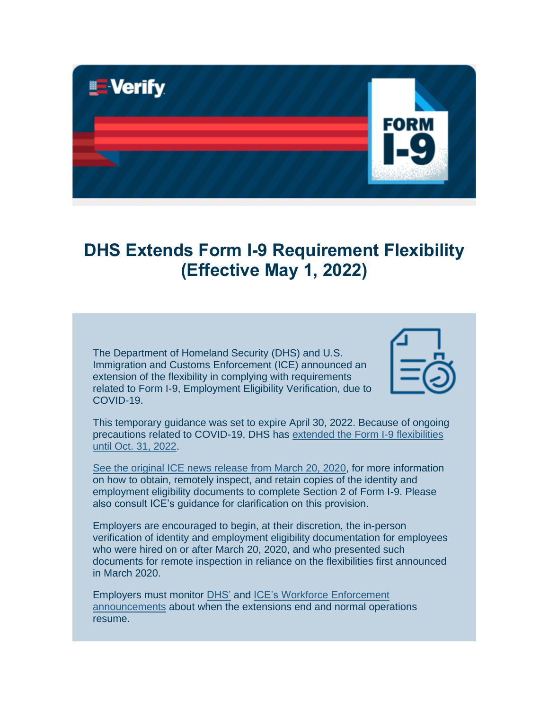

## **DHS Extends Form I-9 Requirement Flexibility (Effective May 1, 2022)**

The Department of Homeland Security (DHS) and U.S. Immigration and Customs Enforcement (ICE) announced an extension of the flexibility in complying with requirements related to Form I-9, Employment Eligibility Verification, due to COVID-19.



This temporary guidance was set to expire April 30, 2022. Because of ongoing precautions related to COVID-19, DHS has [extended the Form I-9 flexibilities](https://lnks.gd/l/eyJhbGciOiJIUzI1NiJ9.eyJidWxsZXRpbl9saW5rX2lkIjoxMDEsInVyaSI6ImJwMjpjbGljayIsImJ1bGxldGluX2lkIjoiMjAyMjA0MjUuNTY5NjA2MTEiLCJ1cmwiOiJodHRwczovL3d3dy5pY2UuZ292L25ld3MvcmVsZWFzZXMvaWNlLWFubm91bmNlcy1leHRlbnNpb24taS05LWNvbXBsaWFuY2UtZmxleGliaWxpdHktMyJ9.v6P76rnnGACF3d5mRaZBvjpyFe8xSoZqFdtYMP27CKs/s/839756169/br/130336368954-l)  [until Oct. 31, 2022.](https://lnks.gd/l/eyJhbGciOiJIUzI1NiJ9.eyJidWxsZXRpbl9saW5rX2lkIjoxMDEsInVyaSI6ImJwMjpjbGljayIsImJ1bGxldGluX2lkIjoiMjAyMjA0MjUuNTY5NjA2MTEiLCJ1cmwiOiJodHRwczovL3d3dy5pY2UuZ292L25ld3MvcmVsZWFzZXMvaWNlLWFubm91bmNlcy1leHRlbnNpb24taS05LWNvbXBsaWFuY2UtZmxleGliaWxpdHktMyJ9.v6P76rnnGACF3d5mRaZBvjpyFe8xSoZqFdtYMP27CKs/s/839756169/br/130336368954-l)

[See the original ICE news release from March 20, 2020,](https://lnks.gd/l/eyJhbGciOiJIUzI1NiJ9.eyJidWxsZXRpbl9saW5rX2lkIjoxMDIsInVyaSI6ImJwMjpjbGljayIsImJ1bGxldGluX2lkIjoiMjAyMjA0MjUuNTY5NjA2MTEiLCJ1cmwiOiJodHRwczovL3d3dy5pY2UuZ292L25ld3MvcmVsZWFzZXMvZGhzLWFubm91bmNlcy1mbGV4aWJpbGl0eS1yZXF1aXJlbWVudHMtcmVsYXRlZC1mb3JtLWktOS1jb21wbGlhbmNlIn0.UKbj5CKH5z1mhSwgSgwzGC_-VYsk7PZxF_j3V4bdMbk/s/839756169/br/130336368954-l) for more information on how to obtain, remotely inspect, and retain copies of the identity and employment eligibility documents to complete Section 2 of Form I-9. Please also consult ICE's guidance for clarification on this provision.

Employers are encouraged to begin, at their discretion, the in-person verification of identity and employment eligibility documentation for employees who were hired on or after March 20, 2020, and who presented such documents for remote inspection in reliance on the flexibilities first announced in March 2020.

Employers must monitor [DHS'](https://lnks.gd/l/eyJhbGciOiJIUzI1NiJ9.eyJidWxsZXRpbl9saW5rX2lkIjoxMDMsInVyaSI6ImJwMjpjbGljayIsImJ1bGxldGluX2lkIjoiMjAyMjA0MjUuNTY5NjA2MTEiLCJ1cmwiOiJodHRwczovL3d3dy5kaHMuZ292L25ld3MtcmVsZWFzZXMvcHJlc3MtcmVsZWFzZXMifQ.hmMV1v2DFbEWXtcQlHdaG5Pk7jONp7zOGGYYT_Q7B1A/s/839756169/br/130336368954-l) and [ICE's Workforce Enforcement](https://lnks.gd/l/eyJhbGciOiJIUzI1NiJ9.eyJidWxsZXRpbl9saW5rX2lkIjoxMDQsInVyaSI6ImJwMjpjbGljayIsImJ1bGxldGluX2lkIjoiMjAyMjA0MjUuNTY5NjA2MTEiLCJ1cmwiOiJodHRwczovL3d3dy5pY2UuZ292L25ld3Nyb29tP2ZpZWxkX25ld3NfcmVsZWFzZV90b3BpY3NfdGFnX3RhcmdldF9pZD0xNzImZmllbGRfZmllbGRfbG9jYXRpb25fYWRtaW5pc3RyYXRpdmVfYXJlYT1BbGwmZmllbGRfcHVibGlzaGVkX2RhdGVfdmFsdWUlNUJtaW4lNUQ9JmZpZWxkX3B1Ymxpc2hlZF9kYXRlX3ZhbHVlJTVCbWF4JTVEPSZjb21iaW5lPSZmaWVsZF9maWVsZF9sb2NhdGlvbl9jb3VudHJ5X2NvZGU9QWxsIn0.lPCeAEMzIB6dty3MTBXnAmHaRrYt3FIo61dlLuOEOPQ/s/839756169/br/130336368954-l)  [announcements](https://lnks.gd/l/eyJhbGciOiJIUzI1NiJ9.eyJidWxsZXRpbl9saW5rX2lkIjoxMDQsInVyaSI6ImJwMjpjbGljayIsImJ1bGxldGluX2lkIjoiMjAyMjA0MjUuNTY5NjA2MTEiLCJ1cmwiOiJodHRwczovL3d3dy5pY2UuZ292L25ld3Nyb29tP2ZpZWxkX25ld3NfcmVsZWFzZV90b3BpY3NfdGFnX3RhcmdldF9pZD0xNzImZmllbGRfZmllbGRfbG9jYXRpb25fYWRtaW5pc3RyYXRpdmVfYXJlYT1BbGwmZmllbGRfcHVibGlzaGVkX2RhdGVfdmFsdWUlNUJtaW4lNUQ9JmZpZWxkX3B1Ymxpc2hlZF9kYXRlX3ZhbHVlJTVCbWF4JTVEPSZjb21iaW5lPSZmaWVsZF9maWVsZF9sb2NhdGlvbl9jb3VudHJ5X2NvZGU9QWxsIn0.lPCeAEMzIB6dty3MTBXnAmHaRrYt3FIo61dlLuOEOPQ/s/839756169/br/130336368954-l) about when the extensions end and normal operations resume.